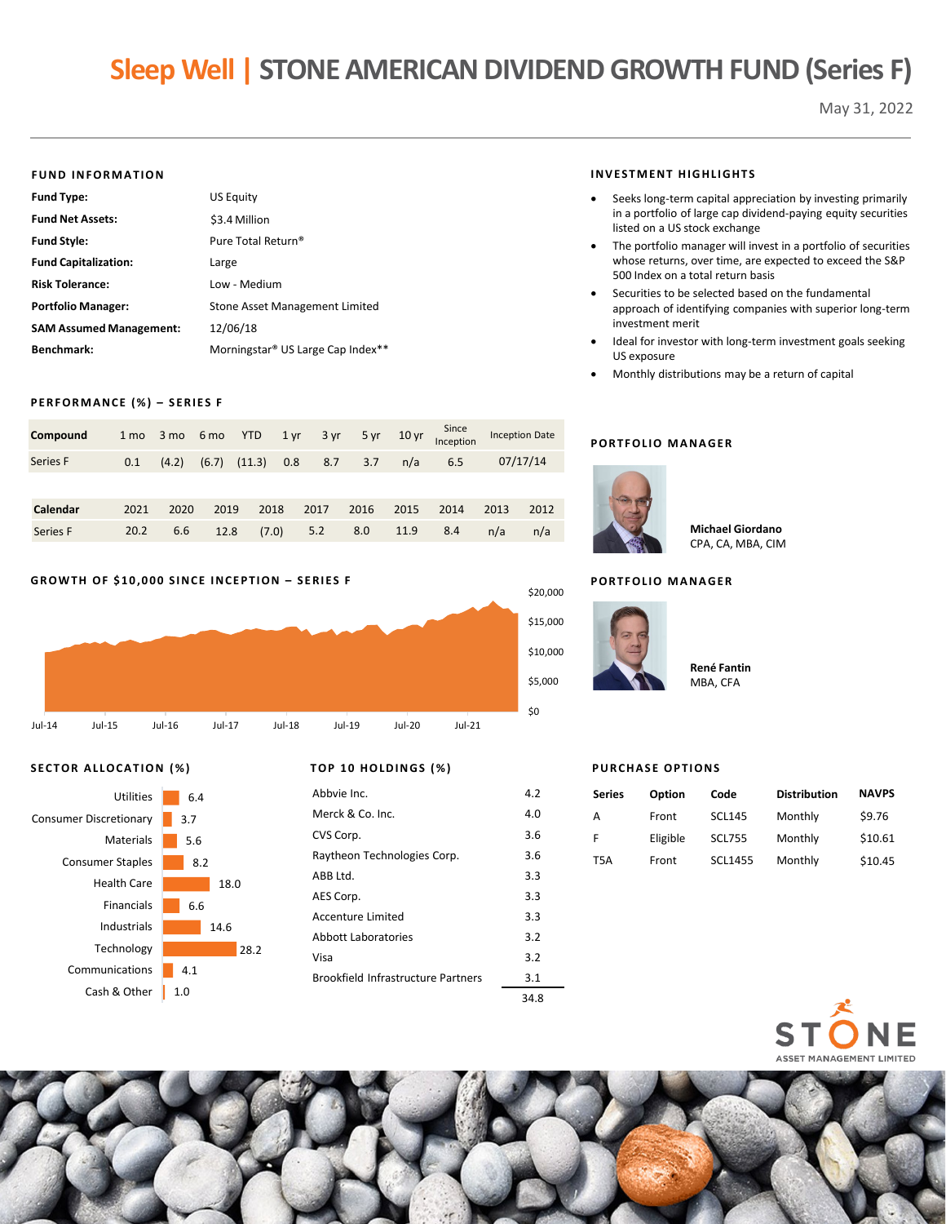# **Sleep Well | STONE AMERICAN DIVIDEND GROWTH FUND (Series F)**

May 31, 2022

#### **FUND INFORMATION**

| <b>Fund Type:</b>              | <b>US Equity</b>                              |
|--------------------------------|-----------------------------------------------|
| <b>Fund Net Assets:</b>        | \$3.4 Million                                 |
| <b>Fund Style:</b>             | Pure Total Return <sup>®</sup>                |
| <b>Fund Capitalization:</b>    | Large                                         |
| <b>Risk Tolerance:</b>         | Low - Medium                                  |
| <b>Portfolio Manager:</b>      | Stone Asset Management Limited                |
| <b>SAM Assumed Management:</b> | 12/06/18                                      |
| Benchmark:                     | Morningstar <sup>®</sup> US Large Cap Index** |

#### **PERFORMANCE (%) – SERIES F**

| Compound | 1 <sub>mo</sub> | 3 mo 6 mo |      | <b>YTD</b>       | 1 yr | 3 yr | 5 yr | $10 \,\mathrm{yr}$ | Since<br>Inception |      | <b>Inception Date</b> |
|----------|-----------------|-----------|------|------------------|------|------|------|--------------------|--------------------|------|-----------------------|
| Series F | 0.1             | (4.2)     |      | $(6.7)$ $(11.3)$ | 0.8  | 8.7  | 3.7  | n/a                | 6.5                |      | 07/17/14              |
|          |                 |           |      |                  |      |      |      |                    |                    |      |                       |
| Calendar | 2021            | 2020      | 2019 | 2018             |      | 2017 | 2016 | 2015               | 2014               | 2013 | 2012                  |
| Series F | 20.2            | 6.6       | 12.8 | (7.0)            |      | 5.2  | 8.0  | 11.9               | 8.4                | n/a  | n/a                   |

## **GROWTH OF \$10,000 SINCE INCEPTION – SERIES F**



# **SECTOR ALLOCATION (%) TOP 10 HOLDINGS (%)**



| Abbyje Inc.                 | 4.2 |
|-----------------------------|-----|
| Merck & Co. Inc.            | 4.0 |
| CVS Corp.                   | 3.6 |
| Raytheon Technologies Corp. | 3.6 |
| ABB Ltd.                    | 3.3 |
| AES Corp.                   | 3.3 |
| Accenture Limited           | 3.3 |
| Abbott Laboratories         | 3.2 |

Visa 3.2 Brookfield Infrastructure Partners 3.1

#### **INVESTMENT HIGHLIGHTS**

- Seeks long-term capital appreciation by investing primarily in a portfolio of large cap dividend-paying equity securities listed on a US stock exchange
- The portfolio manager will invest in a portfolio of securities whose returns, over time, are expected to exceed the S&P 500 Index on a total return basis
- Securities to be selected based on the fundamental approach of identifying companies with superior long-term investment merit
- Ideal for investor with long-term investment goals seeking US exposure
- Monthly distributions may be a return of capital

## **PORTFOLIO MANAGER**



**Michael Giordano** CPA, CA, MBA, CIM

# **PORTFOLIO MANAGER**



| <b>René Fantin</b> |
|--------------------|
| MBA, CFA           |

#### **PURCHASE OPTIONS**

| <b>Series</b>    | Option   | Code           | <b>Distribution</b> | <b>NAVPS</b> |
|------------------|----------|----------------|---------------------|--------------|
| А                | Front    | <b>SCL145</b>  | Monthly             | \$9.76       |
| F                | Eligible | <b>SCL755</b>  | Monthly             | \$10.61      |
| T <sub>5</sub> A | Front    | <b>SCL1455</b> | Monthly             | \$10.45      |





34.8